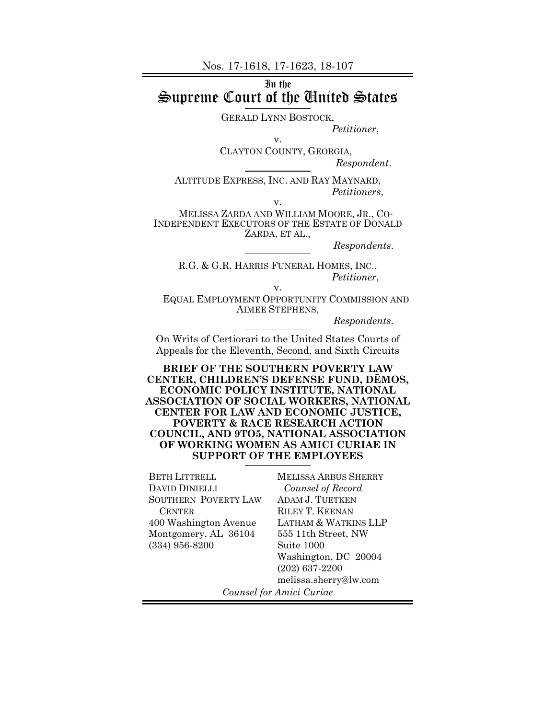Nos. 17-1618, 17-1623, 18-107

### In the Supreme Court of the United States

v.

GERALD LYNN BOSTOCK,

*Petitioner*,

CLAYTON COUNTY, GEORGIA,

*Respondent*.

ALTITUDE EXPRESS, INC. AND RAY MAYNARD, *Petitioners*,

v.

MELISSA ZARDA AND WILLIAM MOORE, JR., CO- INDEPENDENT EXECUTORS OF THE ESTATE OF DONALD ZARDA, ET AL.,

*Respondents*.

R.G. & G.R. HARRIS FUNERAL HOMES, INC., *Petitioner*,

v.

EQUAL EMPLOYMENT OPPORTUNITY COMMISSION AND AIMEE STEPHENS,

*Respondents*.

On Writs of Certiorari to the United States Courts of Appeals for the Eleventh, Second, and Sixth Circuits

**BRIEF OF THE SOUTHERN POVERTY LAW CENTER, CHILDREN'S DEFENSE FUND, DĒMOS, ECONOMIC POLICY INSTITUTE, NATIONAL ASSOCIATION OF SOCIAL WORKERS, NATIONAL CENTER FOR LAW AND ECONOMIC JUSTICE, POVERTY & RACE RESEARCH ACTION COUNCIL, AND 9TO5, NATIONAL ASSOCIATION OF WORKING WOMEN AS AMICI CURIAE IN SUPPORT OF THE EMPLOYEES** 

BETH LITTRELL DAVID DINIELLI SOUTHERN POVERTY LAW CENTER 400 Washington Avenue Montgomery, AL 36104 (334) 956-8200

MELISSA ARBUS SHERRY *Counsel of Record*  ADAM J. TUETKEN RILEY T. KEENAN LATHAM & WATKINS LLP 555 11th Street, NW Suite 1000 Washington, DC 20004 (202) 637-2200 melissa.sherry@lw.com

*Counsel for Amici Curiae*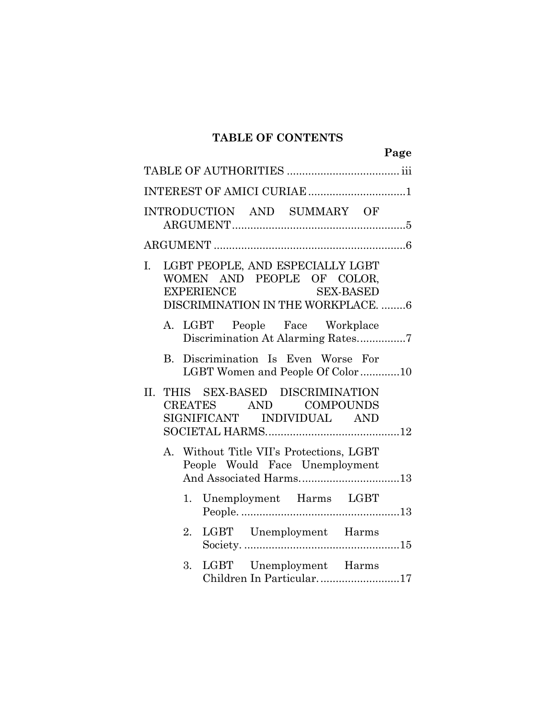### **TABLE OF CONTENTS**

|     |    |                   |                                                                                                      |           | Page |
|-----|----|-------------------|------------------------------------------------------------------------------------------------------|-----------|------|
|     |    |                   |                                                                                                      |           |      |
|     |    |                   | INTEREST OF AMICI CURIAE 1                                                                           |           |      |
|     |    |                   | INTRODUCTION AND SUMMARY OF                                                                          |           |      |
|     |    |                   |                                                                                                      |           |      |
| I.  |    | <b>EXPERIENCE</b> | LGBT PEOPLE, AND ESPECIALLY LGBT<br>WOMEN AND PEOPLE OF COLOR,<br>DISCRIMINATION IN THE WORKPLACE. 6 | SEX-BASED |      |
|     |    |                   | A. LGBT People Face Workplace<br>Discrimination At Alarming Rates7                                   |           |      |
|     |    |                   | B. Discrimination Is Even Worse For<br>LGBT Women and People Of Color10                              |           |      |
| II. |    |                   | THIS SEX-BASED DISCRIMINATION<br>CREATES AND COMPOUNDS<br>SIGNIFICANT INDIVIDUAL AND                 |           |      |
|     |    |                   | A. Without Title VII's Protections, LGBT<br>People Would Face Unemployment<br>And Associated Harms13 |           |      |
|     |    |                   | 1. Unemployment Harms LGBT                                                                           |           |      |
|     | 2. |                   | LGBT Unemployment Harms                                                                              |           |      |
|     | 3. |                   | LGBT Unemployment Harms<br>Children In Particular17                                                  |           |      |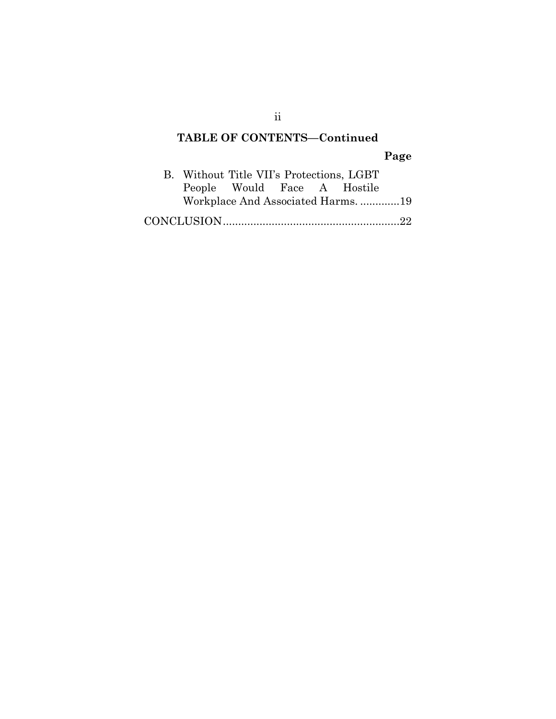# **TABLE OF CONTENTS—Continued**

# **Page**

| B. Without Title VII's Protections, LGBT |                             |  |                                  |  |
|------------------------------------------|-----------------------------|--|----------------------------------|--|
|                                          | People Would Face A Hostile |  |                                  |  |
|                                          |                             |  | Workplace And Associated Harms19 |  |
|                                          |                             |  |                                  |  |

ii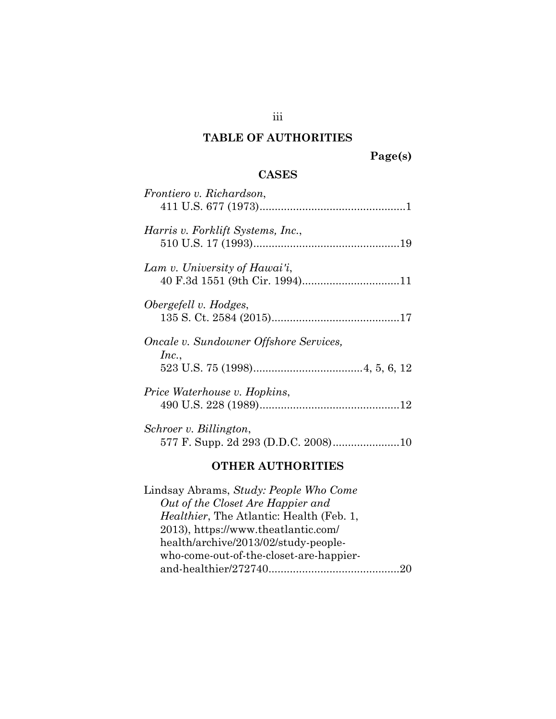### **TABLE OF AUTHORITIES**

### **CASES**

| Schroer v. Billington,                          |
|-------------------------------------------------|
| <i>Price Waterhouse v. Hopkins,</i>             |
| Oncale v. Sundowner Offshore Services,<br>Inc., |
| Obergefell v. Hodges,                           |
| Lam v. University of Hawai'i,                   |
| Harris v. Forklift Systems, Inc.,               |
| Frontiero v. Richardson,                        |

#### **OTHER AUTHORITIES**

Lindsay Abrams, *Study: People Who Come Out of the Closet Are Happier and Healthier*, The Atlantic: Health (Feb. 1, 2013), https://www.theatlantic.com/ health/archive/2013/02/study-peoplewho-come-out-of-the-closet-are-happierand-healthier/272740 ........................................... 20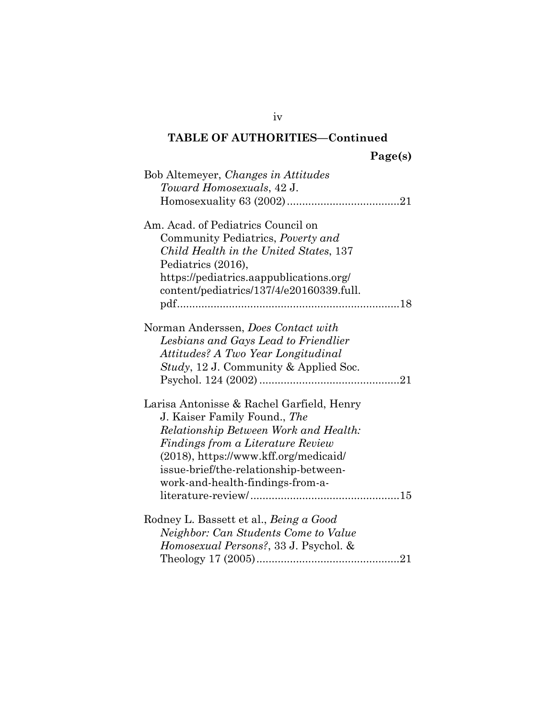| Bob Altemeyer, Changes in Attitudes<br>Toward Homosexuals, 42 J.                                                                                                                                                                                                                 |
|----------------------------------------------------------------------------------------------------------------------------------------------------------------------------------------------------------------------------------------------------------------------------------|
| Am. Acad. of Pediatrics Council on<br>Community Pediatrics, Poverty and<br>Child Health in the United States, 137<br>Pediatrics (2016),<br>https://pediatrics.aappublications.org/<br>content/pediatrics/137/4/e20160339.full.                                                   |
| Norman Anderssen, Does Contact with<br>Lesbians and Gays Lead to Friendlier<br>Attitudes? A Two Year Longitudinal<br><i>Study</i> , 12 J. Community & Applied Soc.                                                                                                               |
| Larisa Antonisse & Rachel Garfield, Henry<br>J. Kaiser Family Found., The<br>Relationship Between Work and Health:<br>Findings from a Literature Review<br>$(2018)$ , https://www.kff.org/medicaid/<br>issue-brief/the-relationship-between-<br>work-and-health-findings-from-a- |
| Rodney L. Bassett et al., Being a Good<br>Neighbor: Can Students Come to Value<br>Homosexual Persons?, 33 J. Psychol. &                                                                                                                                                          |

iv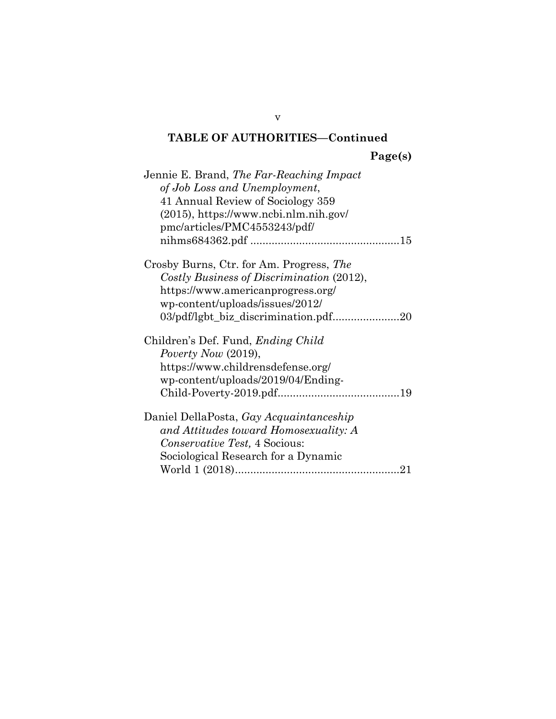**Page(s)** 

| Jennie E. Brand, <i>The Far-Reaching Impact</i> |
|-------------------------------------------------|
| of Job Loss and Unemployment,                   |
| 41 Annual Review of Sociology 359               |
| $(2015)$ , https://www.ncbi.nlm.nih.gov/        |
| pmc/articles/PMC4553243/pdf/                    |
|                                                 |
| Crosby Burns, Ctr. for Am. Progress, The        |
| Costly Business of Discrimination (2012),       |
| https://www.americanprogress.org/               |
| wp-content/uploads/issues/2012/                 |
|                                                 |
| Children's Def. Fund, <i>Ending Child</i>       |
| Poverty Now (2019),                             |
| https://www.childrensdefense.org/               |
| wp-content/uploads/2019/04/Ending-              |
|                                                 |
| Daniel DellaPosta, Gay Acquaintanceship         |
| and Attitudes toward Homosexuality: A           |
| <i>Conservative Test, 4 Socious:</i>            |
| Sociological Research for a Dynamic             |
|                                                 |

v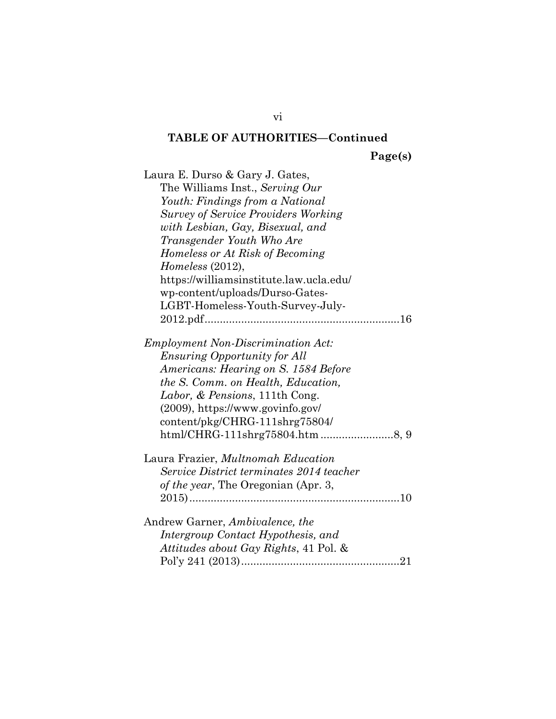**Page(s)** 

| Laura E. Durso & Gary J. Gates,            |
|--------------------------------------------|
| The Williams Inst., Serving Our            |
| Youth: Findings from a National            |
| <b>Survey of Service Providers Working</b> |
| with Lesbian, Gay, Bisexual, and           |
| Transgender Youth Who Are                  |
| Homeless or At Risk of Becoming            |
| Homeless (2012),                           |
| https://williamsinstitute.law.ucla.edu/    |
| wp-content/uploads/Durso-Gates-            |
| LGBT-Homeless-Youth-Survey-July-           |
|                                            |
|                                            |
| <b>Employment Non-Discrimination Act:</b>  |
| <i>Ensuring Opportunity for All</i>        |
| Americans: Hearing on S. 1584 Before       |
| the S. Comm. on Health, Education,         |
| Labor, & Pensions, 111th Cong.             |
| $(2009)$ , https://www.govinfo.gov/        |
| content/pkg/CHRG-111shrg75804/             |
|                                            |
| Laura Frazier, Multnomah Education         |
| Service District terminates 2014 teacher   |
| of the year, The Oregonian (Apr. 3,        |
|                                            |
|                                            |
| Andrew Garner, Ambivalence, the            |
| Intergroup Contact Hypothesis, and         |
| Attitudes about Gay Rights, 41 Pol. &      |
|                                            |

vi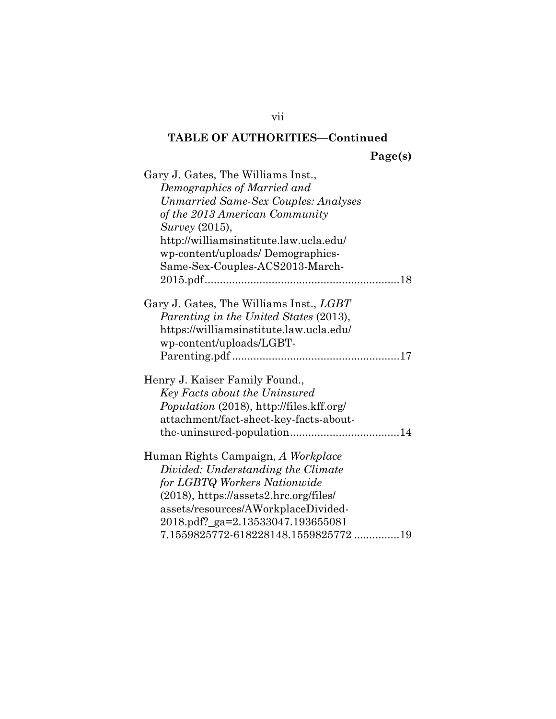**Page(s)** 

| Gary J. Gates, The Williams Inst.,             |
|------------------------------------------------|
| Demographics of Married and                    |
| <b>Unmarried Same-Sex Couples: Analyses</b>    |
| of the 2013 American Community                 |
| <i>Survey</i> (2015),                          |
| http://williamsinstitute.law.ucla.edu/         |
| wp-content/uploads/Demographics-               |
| Same-Sex-Couples-ACS2013-March-                |
|                                                |
|                                                |
| Gary J. Gates, The Williams Inst., <i>LGBT</i> |
| Parenting in the United States (2013),         |
| https://williamsinstitute.law.ucla.edu/        |
| wp-content/uploads/LGBT-                       |
|                                                |
| Henry J. Kaiser Family Found.,                 |
| Key Facts about the Uninsured                  |
| Population (2018), http://files.kff.org/       |
| attachment/fact-sheet-key-facts-about-         |
|                                                |
|                                                |
| Human Rights Campaign, A Workplace             |
| Divided: Understanding the Climate             |
| for LGBTQ Workers Nationwide                   |
| $(2018)$ , https://assets2.hrc.org/files/      |
| assets/resources/AWorkplaceDivided-            |
| 2018.pdf?_ga=2.13533047.193655081              |
| 7.1559825772-618228148.1559825772 19           |

vii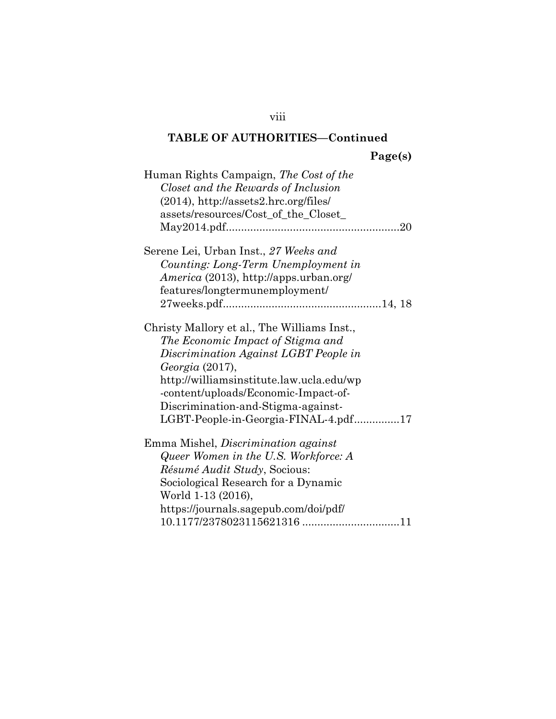**Page(s)** 

| Human Rights Campaign, The Cost of the<br>Closet and the Rewards of Inclusion<br>$(2014)$ , http://assets2.hrc.org/files/<br>assets/resources/Cost_of_the_Closet_                                                                                                                                              |
|----------------------------------------------------------------------------------------------------------------------------------------------------------------------------------------------------------------------------------------------------------------------------------------------------------------|
| Serene Lei, Urban Inst., 27 Weeks and<br>Counting: Long-Term Unemployment in<br>America (2013), http://apps.urban.org/                                                                                                                                                                                         |
| features/longtermunemployment/                                                                                                                                                                                                                                                                                 |
| Christy Mallory et al., The Williams Inst.,<br>The Economic Impact of Stigma and<br>Discrimination Against LGBT People in<br>Georgia (2017),<br>http://williamsinstitute.law.ucla.edu/wp<br>-content/uploads/Economic-Impact-of-<br>Discrimination-and-Stigma-against-<br>LGBT-People-in-Georgia-FINAL-4.pdf17 |
| Emma Mishel, <i>Discrimination</i> against<br>Queer Women in the U.S. Workforce: A<br><i>Résumé Audit Study</i> , Socious:<br>Sociological Research for a Dynamic<br>World 1-13 (2016),<br>https://journals.sagepub.com/doi/pdf/                                                                               |

viii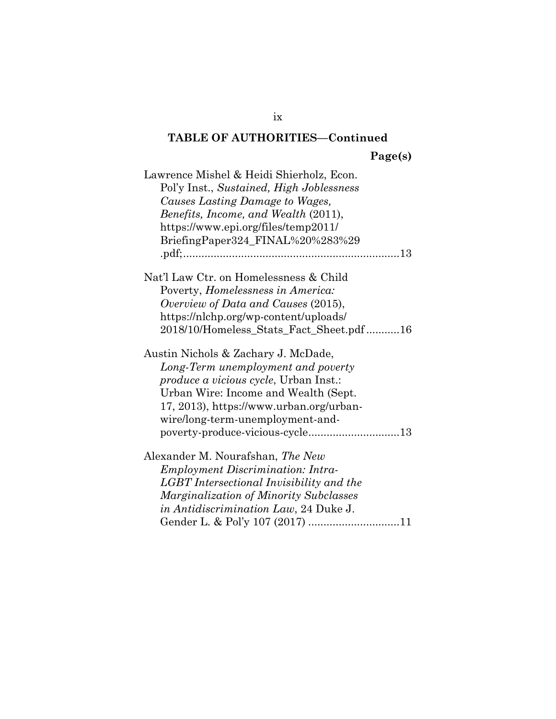**Page(s)** 

| Lawrence Mishel & Heidi Shierholz, Econ.      |
|-----------------------------------------------|
| Pol'y Inst., Sustained, High Joblessness      |
| Causes Lasting Damage to Wages,               |
| Benefits, Income, and Wealth (2011),          |
| https://www.epi.org/files/temp2011/           |
| BriefingPaper324_FINAL%20%283%29              |
|                                               |
| Nat'l Law Ctr. on Homelessness & Child        |
| Poverty, <i>Homelessness in America</i> :     |
| Overview of Data and Causes (2015),           |
| https://nlchp.org/wp-content/uploads/         |
| 2018/10/Homeless_Stats_Fact_Sheet.pdf16       |
| Austin Nichols & Zachary J. McDade,           |
| Long-Term unemployment and poverty            |
| <i>produce a vicious cycle</i> , Urban Inst.: |
| Urban Wire: Income and Wealth (Sept.          |
| 17, 2013), https://www.urban.org/urban-       |
| wire/long-term-unemployment-and-              |
|                                               |
| Alexander M. Nourafshan, The New              |
| <i>Employment Discrimination: Intra-</i>      |
| LGBT Intersectional Invisibility and the      |
| Marginalization of Minority Subclasses        |
| <i>in Antidiscrimination Law</i> , 24 Duke J. |
| Gender L. & Pol'y 107 (2017) 11               |

ix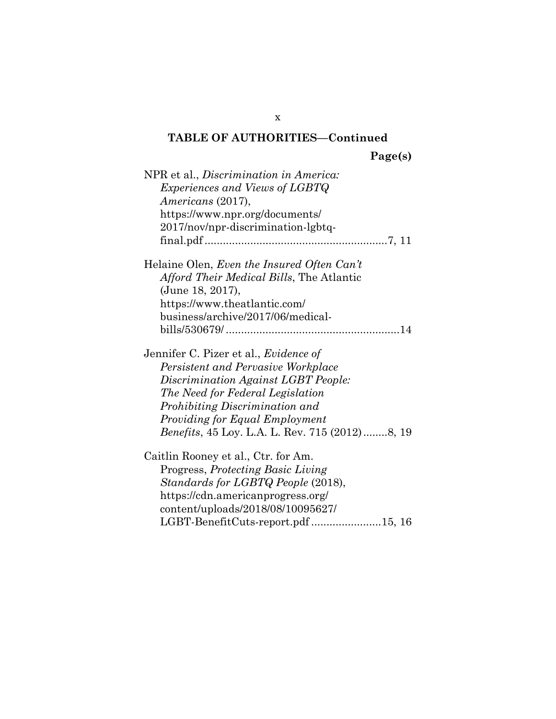**Page(s)** 

| NPR et al., <i>Discrimination in America</i> :<br><i>Experiences and Views of LGBTQ</i><br><i>Americans</i> (2017),<br>https://www.npr.org/documents/<br>2017/nov/npr-discrimination-lgbtq-                                                                                                 |
|---------------------------------------------------------------------------------------------------------------------------------------------------------------------------------------------------------------------------------------------------------------------------------------------|
| Helaine Olen, Even the Insured Often Can't<br>Afford Their Medical Bills, The Atlantic<br>(June 18, 2017),<br>https://www.theatlantic.com/<br>business/archive/2017/06/medical-                                                                                                             |
| Jennifer C. Pizer et al., <i>Evidence of</i><br>Persistent and Pervasive Workplace<br>Discrimination Against LGBT People:<br>The Need for Federal Legislation<br>Prohibiting Discrimination and<br>Providing for Equal Employment<br><i>Benefits</i> , 45 Loy. L.A. L. Rev. 715 (2012)8, 19 |
| Caitlin Rooney et al., Ctr. for Am.<br>Progress, Protecting Basic Living<br>Standards for LGBTQ People (2018),<br>https://cdn.americanprogress.org/<br>content/uploads/2018/08/10095627/<br>LGBT-BenefitCuts-report.pdf 15, 16                                                              |

x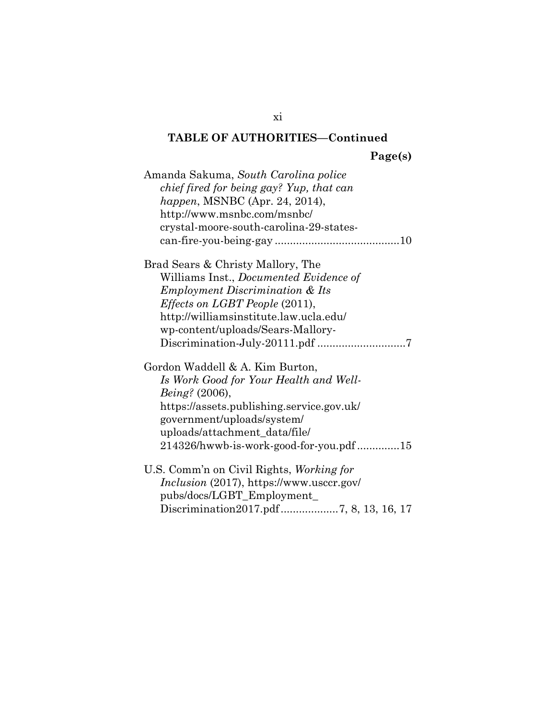**Page(s)** 

| Amanda Sakuma, South Carolina police<br>chief fired for being gay? Yup, that can<br><i>happen</i> , MSNBC (Apr. 24, 2014),<br>http://www.msnbc.com/msnbc/<br>crystal-moore-south-carolina-29-states-                                              |
|---------------------------------------------------------------------------------------------------------------------------------------------------------------------------------------------------------------------------------------------------|
| Brad Sears & Christy Mallory, The<br>Williams Inst., Documented Evidence of<br><b>Employment Discrimination &amp; Its</b><br><i>Effects on LGBT People</i> (2011),<br>http://williamsinstitute.law.ucla.edu/<br>wp-content/uploads/Sears-Mallory- |
| Gordon Waddell & A. Kim Burton,<br>Is Work Good for Your Health and Well-<br>Being? (2006),<br>https://assets.publishing.service.gov.uk/<br>government/uploads/system/<br>uploads/attachment_data/file/<br>214326/hwwb-is-work-good-for-you.pdf15 |
| U.S. Comm'n on Civil Rights, Working for<br>Inclusion (2017), https://www.usccr.gov/<br>pubs/docs/LGBT_Employment_                                                                                                                                |

xi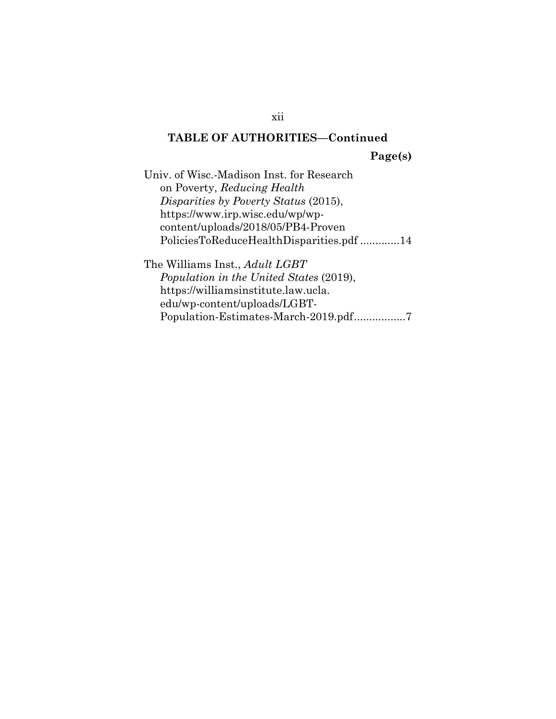**Page(s)** 

Univ. of Wisc.-Madison Inst. for Research on Poverty, *Reducing Health Disparities by Poverty Status* (2015), https://www.irp.wisc.edu/wp/wpcontent/uploads/2018/05/PB4-Proven PoliciesToReduceHealthDisparities.pdf ............. 14

The Williams Inst., *Adult LGBT Population in the United States* (2019), https://williamsinstitute.law.ucla. edu/wp-content/uploads/LGBT-Population-Estimates-March-2019.pdf ...................7

xii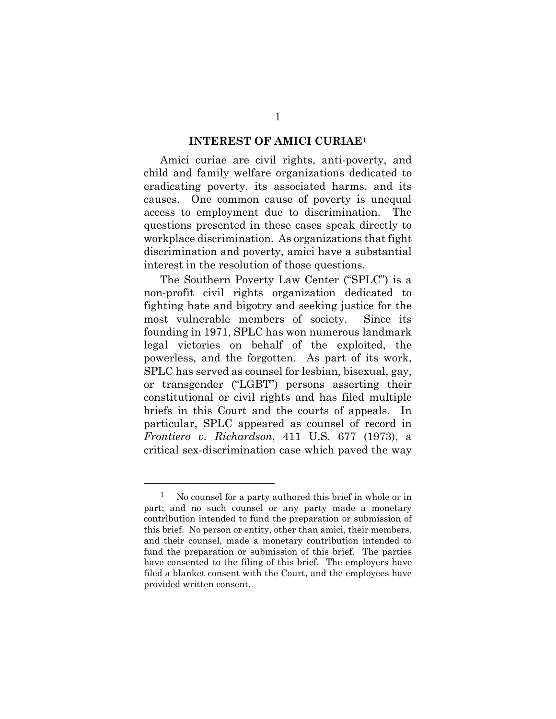### **INTEREST OF AMICI CURIAE1**

Amici curiae are civil rights, anti-poverty, and child and family welfare organizations dedicated to eradicating poverty, its associated harms, and its causes. One common cause of poverty is unequal access to employment due to discrimination. The questions presented in these cases speak directly to workplace discrimination. As organizations that fight discrimination and poverty, amici have a substantial interest in the resolution of those questions.

The Southern Poverty Law Center ("SPLC") is a non-profit civil rights organization dedicated to fighting hate and bigotry and seeking justice for the most vulnerable members of society. Since its founding in 1971, SPLC has won numerous landmark legal victories on behalf of the exploited, the powerless, and the forgotten. As part of its work, SPLC has served as counsel for lesbian, bisexual, gay, or transgender ("LGBT") persons asserting their constitutional or civil rights and has filed multiple briefs in this Court and the courts of appeals. In particular, SPLC appeared as counsel of record in *Frontiero v. Richardson*, 411 U.S. 677 (1973), a critical sex-discrimination case which paved the way

l

<sup>1</sup> No counsel for a party authored this brief in whole or in part; and no such counsel or any party made a monetary contribution intended to fund the preparation or submission of this brief. No person or entity, other than amici, their members, and their counsel, made a monetary contribution intended to fund the preparation or submission of this brief. The parties have consented to the filing of this brief. The employers have filed a blanket consent with the Court, and the employees have provided written consent.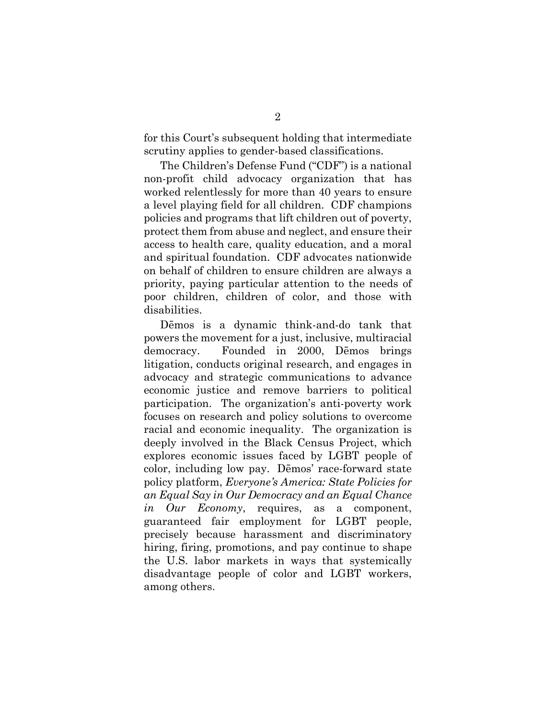for this Court's subsequent holding that intermediate scrutiny applies to gender-based classifications.

The Children's Defense Fund ("CDF") is a national non-profit child advocacy organization that has worked relentlessly for more than 40 years to ensure a level playing field for all children. CDF champions policies and programs that lift children out of poverty, protect them from abuse and neglect, and ensure their access to health care, quality education, and a moral and spiritual foundation. CDF advocates nationwide on behalf of children to ensure children are always a priority, paying particular attention to the needs of poor children, children of color, and those with disabilities.

Dēmos is a dynamic think-and-do tank that powers the movement for a just, inclusive, multiracial democracy. Founded in 2000, Dēmos brings litigation, conducts original research, and engages in advocacy and strategic communications to advance economic justice and remove barriers to political participation. The organization's anti-poverty work focuses on research and policy solutions to overcome racial and economic inequality. The organization is deeply involved in the Black Census Project, which explores economic issues faced by LGBT people of color, including low pay. Dēmos' race-forward state policy platform, *Everyone's America: State Policies for an Equal Say in Our Democracy and an Equal Chance in Our Economy*, requires, as a component, guaranteed fair employment for LGBT people, precisely because harassment and discriminatory hiring, firing, promotions, and pay continue to shape the U.S. labor markets in ways that systemically disadvantage people of color and LGBT workers, among others.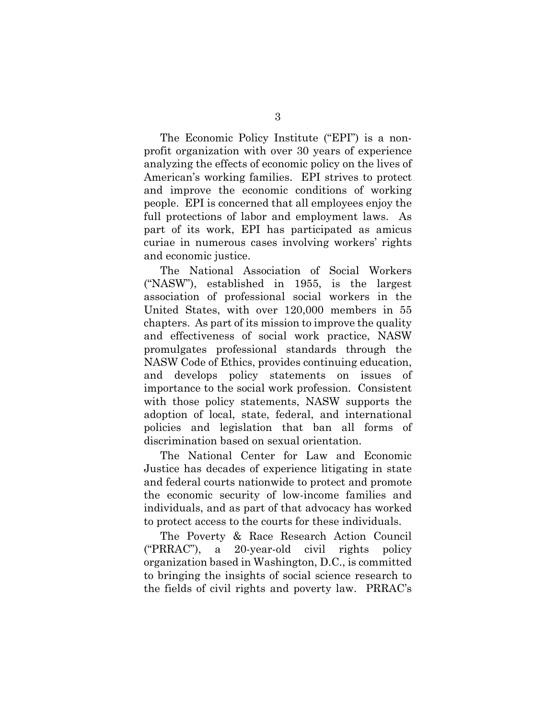The Economic Policy Institute ("EPI") is a nonprofit organization with over 30 years of experience analyzing the effects of economic policy on the lives of American's working families. EPI strives to protect and improve the economic conditions of working people. EPI is concerned that all employees enjoy the full protections of labor and employment laws. As part of its work, EPI has participated as amicus curiae in numerous cases involving workers' rights and economic justice.

The National Association of Social Workers ("NASW"), established in 1955, is the largest association of professional social workers in the United States, with over 120,000 members in 55 chapters. As part of its mission to improve the quality and effectiveness of social work practice, NASW promulgates professional standards through the NASW Code of Ethics, provides continuing education, and develops policy statements on issues of importance to the social work profession. Consistent with those policy statements, NASW supports the adoption of local, state, federal, and international policies and legislation that ban all forms of discrimination based on sexual orientation.

The National Center for Law and Economic Justice has decades of experience litigating in state and federal courts nationwide to protect and promote the economic security of low-income families and individuals, and as part of that advocacy has worked to protect access to the courts for these individuals.

The Poverty & Race Research Action Council ("PRRAC"), a 20-year-old civil rights policy organization based in Washington, D.C., is committed to bringing the insights of social science research to the fields of civil rights and poverty law. PRRAC's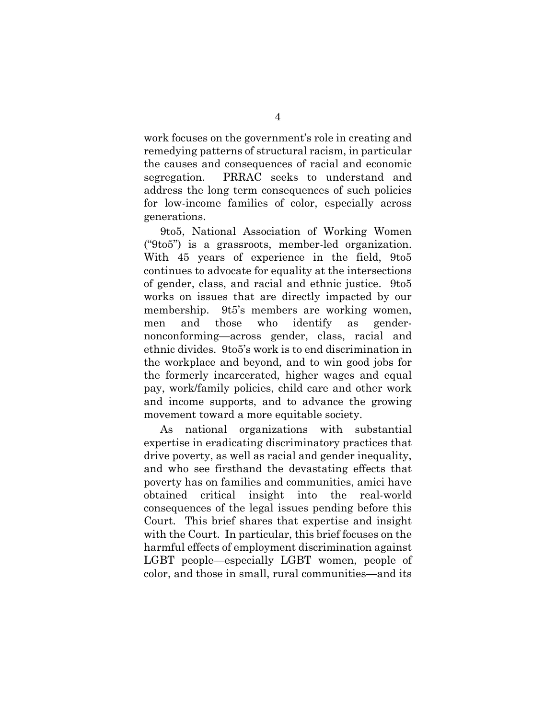work focuses on the government's role in creating and remedying patterns of structural racism, in particular the causes and consequences of racial and economic segregation. PRRAC seeks to understand and address the long term consequences of such policies for low-income families of color, especially across generations.

9to5, National Association of Working Women ("9to5") is a grassroots, member-led organization. With 45 years of experience in the field, 9to5 continues to advocate for equality at the intersections of gender, class, and racial and ethnic justice. 9to5 works on issues that are directly impacted by our membership. 9t5's members are working women, men and those who identify as gendernonconforming—across gender, class, racial and ethnic divides. 9to5's work is to end discrimination in the workplace and beyond, and to win good jobs for the formerly incarcerated, higher wages and equal pay, work/family policies, child care and other work and income supports, and to advance the growing movement toward a more equitable society.

As national organizations with substantial expertise in eradicating discriminatory practices that drive poverty, as well as racial and gender inequality, and who see firsthand the devastating effects that poverty has on families and communities, amici have obtained critical insight into the real-world consequences of the legal issues pending before this Court. This brief shares that expertise and insight with the Court. In particular, this brief focuses on the harmful effects of employment discrimination against LGBT people—especially LGBT women, people of color, and those in small, rural communities—and its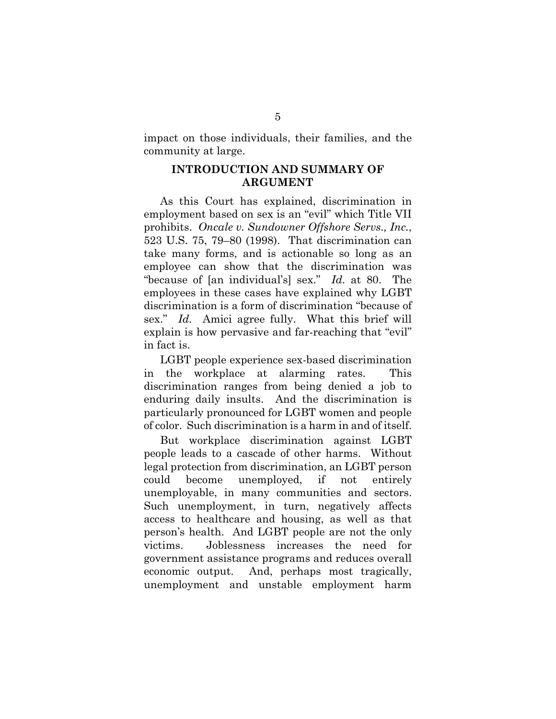impact on those individuals, their families, and the community at large.

### **INTRODUCTION AND SUMMARY OF ARGUMENT**

As this Court has explained, discrimination in employment based on sex is an "evil" which Title VII prohibits. *Oncale v. Sundowner Offshore Servs., Inc.*, 523 U.S. 75, 79–80 (1998). That discrimination can take many forms, and is actionable so long as an employee can show that the discrimination was "because of [an individual's] sex." *Id.* at 80. The employees in these cases have explained why LGBT discrimination is a form of discrimination "because of sex." *Id.* Amici agree fully. What this brief will explain is how pervasive and far-reaching that "evil" in fact is.

LGBT people experience sex-based discrimination in the workplace at alarming rates. This discrimination ranges from being denied a job to enduring daily insults. And the discrimination is particularly pronounced for LGBT women and people of color.Such discrimination is a harm in and of itself.

But workplace discrimination against LGBT people leads to a cascade of other harms. Without legal protection from discrimination, an LGBT person could become unemployed, if not entirely unemployable, in many communities and sectors. Such unemployment, in turn, negatively affects access to healthcare and housing, as well as that person's health. And LGBT people are not the only victims. Joblessness increases the need for government assistance programs and reduces overall economic output. And, perhaps most tragically, unemployment and unstable employment harm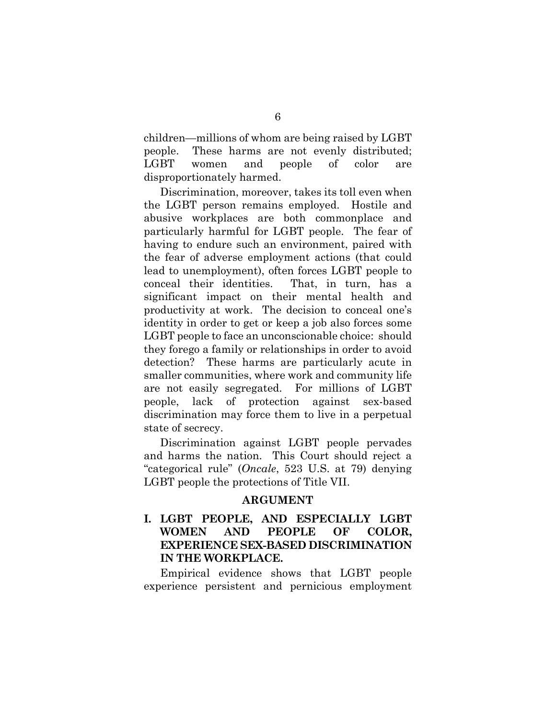children—millions of whom are being raised by LGBT people. These harms are not evenly distributed; LGBT women and people of color are disproportionately harmed.

Discrimination, moreover, takes its toll even when the LGBT person remains employed. Hostile and abusive workplaces are both commonplace and particularly harmful for LGBT people. The fear of having to endure such an environment, paired with the fear of adverse employment actions (that could lead to unemployment), often forces LGBT people to conceal their identities. That, in turn, has a significant impact on their mental health and productivity at work. The decision to conceal one's identity in order to get or keep a job also forces some LGBT people to face an unconscionable choice: should they forego a family or relationships in order to avoid detection? These harms are particularly acute in smaller communities, where work and community life are not easily segregated. For millions of LGBT people, lack of protection against sex-based discrimination may force them to live in a perpetual state of secrecy.

Discrimination against LGBT people pervades and harms the nation. This Court should reject a "categorical rule" (*Oncale*, 523 U.S. at 79) denying LGBT people the protections of Title VII.

### **ARGUMENT**

### **I. LGBT PEOPLE, AND ESPECIALLY LGBT WOMEN AND PEOPLE OF COLOR, EXPERIENCE SEX-BASED DISCRIMINATION IN THE WORKPLACE.**

Empirical evidence shows that LGBT people experience persistent and pernicious employment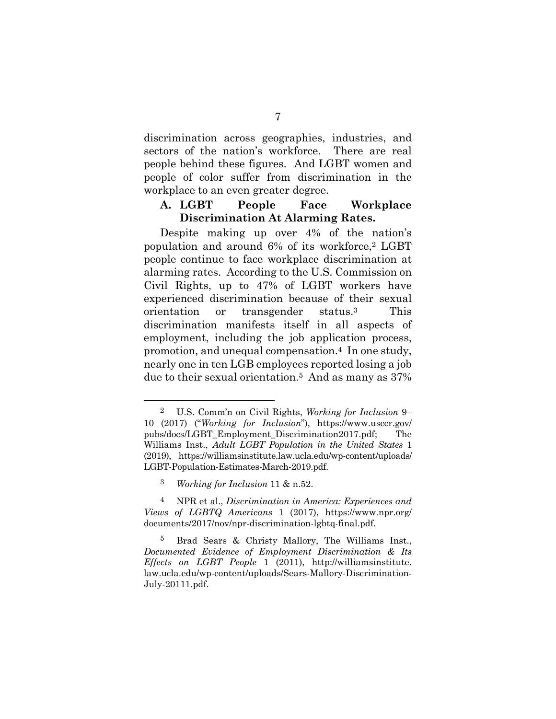discrimination across geographies, industries, and sectors of the nation's workforce. There are real people behind these figures. And LGBT women and people of color suffer from discrimination in the workplace to an even greater degree.

### **A. LGBT People Face Workplace Discrimination At Alarming Rates.**

Despite making up over 4% of the nation's population and around 6% of its workforce,2 LGBT people continue to face workplace discrimination at alarming rates. According to the U.S. Commission on Civil Rights, up to 47% of LGBT workers have experienced discrimination because of their sexual orientation or transgender status.3 This discrimination manifests itself in all aspects of employment, including the job application process, promotion, and unequal compensation.4 In one study, nearly one in ten LGB employees reported losing a job due to their sexual orientation.5 And as many as 37%

 <sup>2</sup> U.S. Comm'n on Civil Rights, *Working for Inclusion* 9– 10 (2017) ("*Working for Inclusion*"), https://www.usccr.gov/ pubs/docs/LGBT\_Employment\_Discrimination2017.pdf; The Williams Inst., *Adult LGBT Population in the United States* 1 (2019), https://williamsinstitute.law.ucla.edu/wp-content/uploads/ LGBT-Population-Estimates-March-2019.pdf.

<sup>3</sup> *Working for Inclusion* 11 & n.52.

<sup>4</sup> NPR et al., *Discrimination in America: Experiences and Views of LGBTQ Americans* 1 (2017), https://www.npr.org/ documents/2017/nov/npr-discrimination-lgbtq-final.pdf.

<sup>5</sup> Brad Sears & Christy Mallory, The Williams Inst., *Documented Evidence of Employment Discrimination & Its Effects on LGBT People* 1 (2011), http://williamsinstitute. law.ucla.edu/wp-content/uploads/Sears-Mallory-Discrimination-July-20111.pdf.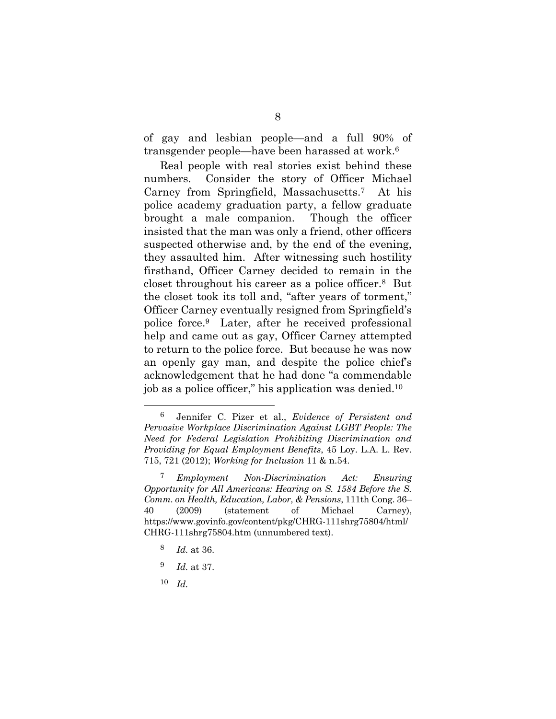of gay and lesbian people—and a full 90% of transgender people—have been harassed at work.6

Real people with real stories exist behind these numbers. Consider the story of Officer Michael Carney from Springfield, Massachusetts.7 At his police academy graduation party, a fellow graduate brought a male companion. Though the officer insisted that the man was only a friend, other officers suspected otherwise and, by the end of the evening, they assaulted him. After witnessing such hostility firsthand, Officer Carney decided to remain in the closet throughout his career as a police officer.8 But the closet took its toll and, "after years of torment," Officer Carney eventually resigned from Springfield's police force.9 Later, after he received professional help and came out as gay, Officer Carney attempted to return to the police force. But because he was now an openly gay man, and despite the police chief's acknowledgement that he had done "a commendable job as a police officer," his application was denied.10

- 9 *Id.* at 37.
- 10 *Id.*

 <sup>6</sup> Jennifer C. Pizer et al., *Evidence of Persistent and Pervasive Workplace Discrimination Against LGBT People: The Need for Federal Legislation Prohibiting Discrimination and Providing for Equal Employment Benefits*, 45 Loy. L.A. L. Rev. 715, 721 (2012); *Working for Inclusion* 11 & n.54.

<sup>7</sup> *Employment Non-Discrimination Act: Ensuring Opportunity for All Americans: Hearing on S. 1584 Before the S. Comm. on Health, Education, Labor, & Pensions*, 111th Cong. 36– 40 (2009) (statement of Michael Carney), https://www.govinfo.gov/content/pkg/CHRG-111shrg75804/html/ CHRG-111shrg75804.htm (unnumbered text).

<sup>8</sup> *Id.* at 36.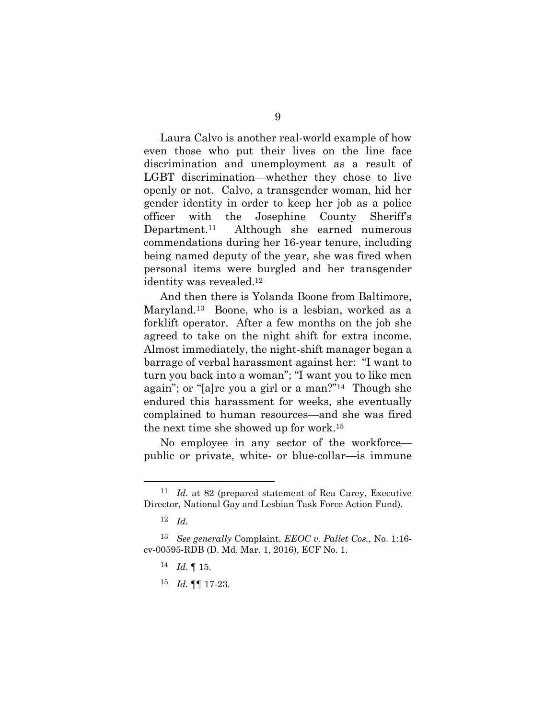Laura Calvo is another real-world example of how even those who put their lives on the line face discrimination and unemployment as a result of LGBT discrimination—whether they chose to live openly or not. Calvo, a transgender woman, hid her gender identity in order to keep her job as a police officer with the Josephine County Sheriff's Department.11 Although she earned numerous commendations during her 16-year tenure, including being named deputy of the year, she was fired when personal items were burgled and her transgender identity was revealed.12

And then there is Yolanda Boone from Baltimore, Maryland.13 Boone, who is a lesbian, worked as a forklift operator. After a few months on the job she agreed to take on the night shift for extra income. Almost immediately, the night-shift manager began a barrage of verbal harassment against her: "I want to turn you back into a woman"; "I want you to like men again"; or "[a]re you a girl or a man?"14 Though she endured this harassment for weeks, she eventually complained to human resources—and she was fired the next time she showed up for work.15

No employee in any sector of the workforce public or private, white- or blue-collar—is immune

- 14 *Id.* ¶ 15.
- 15 *Id.* ¶¶ 17-23.

 <sup>11</sup> *Id.* at 82 (prepared statement of Rea Carey, Executive Director, National Gay and Lesbian Task Force Action Fund).

<sup>12</sup> *Id.* 

<sup>13</sup> *See generally* Complaint, *EEOC v. Pallet Cos.*, No. 1:16 cv-00595-RDB (D. Md. Mar. 1, 2016), ECF No. 1.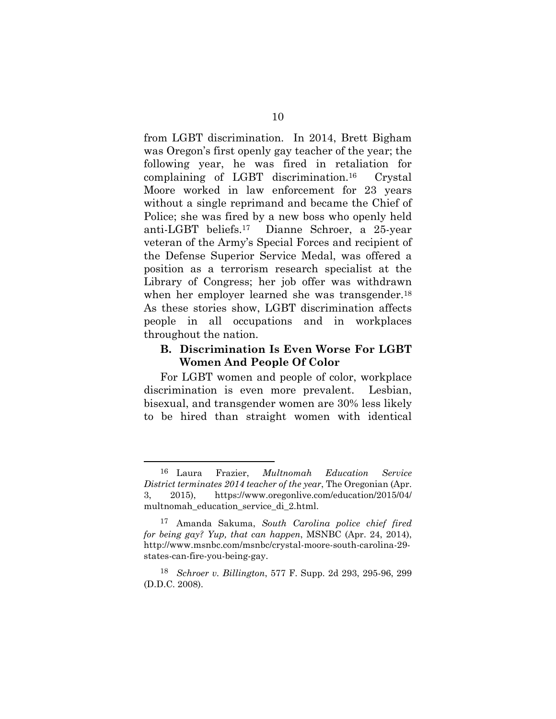from LGBT discrimination. In 2014, Brett Bigham was Oregon's first openly gay teacher of the year; the following year, he was fired in retaliation for complaining of LGBT discrimination.16 Crystal Moore worked in law enforcement for 23 years without a single reprimand and became the Chief of Police; she was fired by a new boss who openly held anti-LGBT beliefs.17 Dianne Schroer, a 25-year veteran of the Army's Special Forces and recipient of the Defense Superior Service Medal, was offered a position as a terrorism research specialist at the Library of Congress; her job offer was withdrawn when her employer learned she was transgender.<sup>18</sup> As these stories show, LGBT discrimination affects people in all occupations and in workplaces throughout the nation.

### **B. Discrimination Is Even Worse For LGBT Women And People Of Color**

For LGBT women and people of color, workplace discrimination is even more prevalent. Lesbian, bisexual, and transgender women are 30% less likely to be hired than straight women with identical

 <sup>16</sup> Laura Frazier, *Multnomah Education Service District terminates 2014 teacher of the year*, The Oregonian (Apr. 3, 2015), https://www.oregonlive.com/education/2015/04/ multnomah\_education\_service\_di\_2.html.

<sup>17</sup> Amanda Sakuma, *South Carolina police chief fired for being gay? Yup, that can happen*, MSNBC (Apr. 24, 2014), http://www.msnbc.com/msnbc/crystal-moore-south-carolina-29 states-can-fire-you-being-gay.

<sup>18</sup> *Schroer v. Billington*, 577 F. Supp. 2d 293, 295-96, 299 (D.D.C. 2008).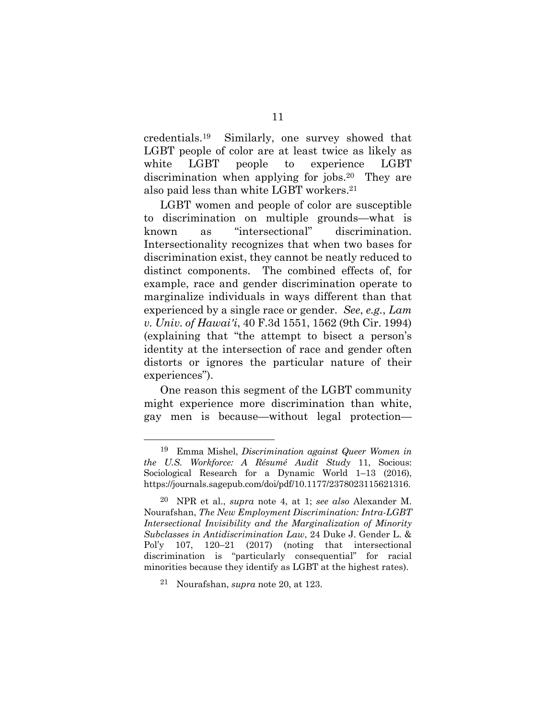credentials.19 Similarly, one survey showed that LGBT people of color are at least twice as likely as white LGBT people to experience LGBT discrimination when applying for jobs.<sup>20</sup> They are also paid less than white LGBT workers.21

LGBT women and people of color are susceptible to discrimination on multiple grounds—what is known as "intersectional" discrimination. Intersectionality recognizes that when two bases for discrimination exist, they cannot be neatly reduced to distinct components. The combined effects of, for example, race and gender discrimination operate to marginalize individuals in ways different than that experienced by a single race or gender. *See*, *e.g.*, *Lam v. Univ. of Hawai′i*, 40 F.3d 1551, 1562 (9th Cir. 1994) (explaining that "the attempt to bisect a person's identity at the intersection of race and gender often distorts or ignores the particular nature of their experiences").

One reason this segment of the LGBT community might experience more discrimination than white, gay men is because—without legal protection—

 <sup>19</sup> Emma Mishel, *Discrimination against Queer Women in the U.S. Workforce: A Résumé Audit Study* 11, Socious: Sociological Research for a Dynamic World 1–13 (2016), https://journals.sagepub.com/doi/pdf/10.1177/2378023115621316.

<sup>20</sup> NPR et al., *supra* note 4, at 1; *see also* Alexander M. Nourafshan, *The New Employment Discrimination: Intra-LGBT Intersectional Invisibility and the Marginalization of Minority Subclasses in Antidiscrimination Law*, 24 Duke J. Gender L. & Pol'y 107, 120–21 (2017) (noting that intersectional discrimination is "particularly consequential" for racial minorities because they identify as LGBT at the highest rates).

<sup>21</sup> Nourafshan, *supra* note 20, at 123.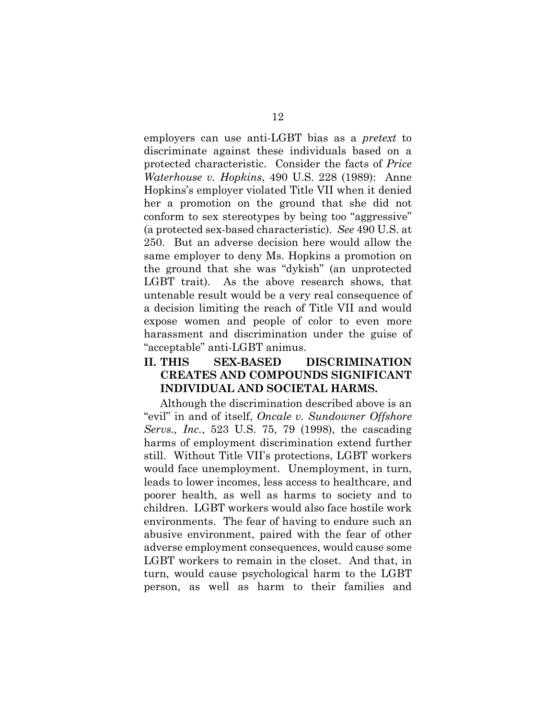employers can use anti-LGBT bias as a *pretext* to discriminate against these individuals based on a protected characteristic. Consider the facts of *Price Waterhouse v. Hopkins*, 490 U.S. 228 (1989): Anne Hopkins's employer violated Title VII when it denied her a promotion on the ground that she did not conform to sex stereotypes by being too "aggressive" (a protected sex-based characteristic). *See* 490 U.S. at 250. But an adverse decision here would allow the same employer to deny Ms. Hopkins a promotion on the ground that she was "dykish" (an unprotected LGBT trait). As the above research shows, that untenable result would be a very real consequence of a decision limiting the reach of Title VII and would expose women and people of color to even more harassment and discrimination under the guise of "acceptable" anti-LGBT animus.

### **II. THIS SEX-BASED DISCRIMINATION CREATES AND COMPOUNDS SIGNIFICANT INDIVIDUAL AND SOCIETAL HARMS.**

Although the discrimination described above is an "evil" in and of itself, *Oncale v. Sundowner Offshore Servs., Inc.*, 523 U.S. 75, 79 (1998), the cascading harms of employment discrimination extend further still. Without Title VII's protections, LGBT workers would face unemployment. Unemployment, in turn, leads to lower incomes, less access to healthcare, and poorer health, as well as harms to society and to children. LGBT workers would also face hostile work environments. The fear of having to endure such an abusive environment, paired with the fear of other adverse employment consequences, would cause some LGBT workers to remain in the closet. And that, in turn, would cause psychological harm to the LGBT person, as well as harm to their families and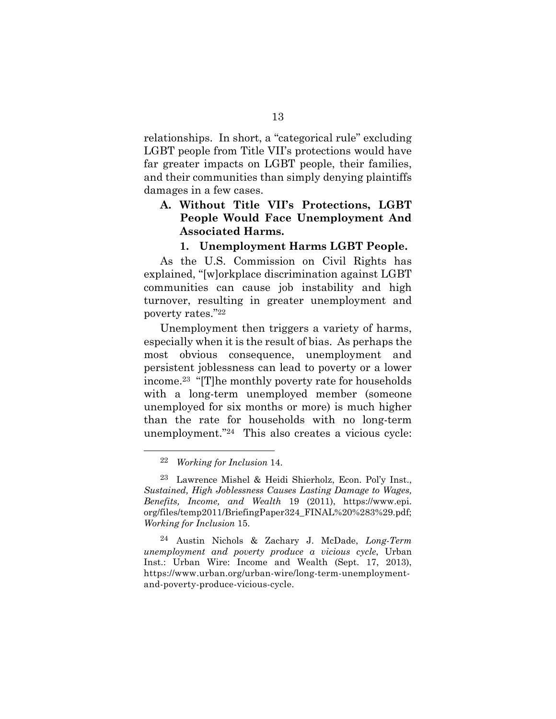relationships. In short, a "categorical rule" excluding LGBT people from Title VII's protections would have far greater impacts on LGBT people, their families, and their communities than simply denying plaintiffs damages in a few cases.

### **A. Without Title VII's Protections, LGBT People Would Face Unemployment And Associated Harms.**

#### **1. Unemployment Harms LGBT People.**

As the U.S. Commission on Civil Rights has explained, "[w]orkplace discrimination against LGBT communities can cause job instability and high turnover, resulting in greater unemployment and poverty rates."22

Unemployment then triggers a variety of harms, especially when it is the result of bias. As perhaps the most obvious consequence, unemployment and persistent joblessness can lead to poverty or a lower income.23 "[T]he monthly poverty rate for households with a long-term unemployed member (someone unemployed for six months or more) is much higher than the rate for households with no long-term unemployment."24 This also creates a vicious cycle:

 <sup>22</sup> *Working for Inclusion* 14.

<sup>23</sup> Lawrence Mishel & Heidi Shierholz, Econ. Pol'y Inst., *Sustained, High Joblessness Causes Lasting Damage to Wages, Benefits, Income, and Wealth* 19 (2011), https://www.epi. org/files/temp2011/BriefingPaper324\_FINAL%20%283%29.pdf; *Working for Inclusion* 15.

<sup>24</sup> Austin Nichols & Zachary J. McDade, *Long-Term unemployment and poverty produce a vicious cycle*, Urban Inst.: Urban Wire: Income and Wealth (Sept. 17, 2013), https://www.urban.org/urban-wire/long-term-unemploymentand-poverty-produce-vicious-cycle.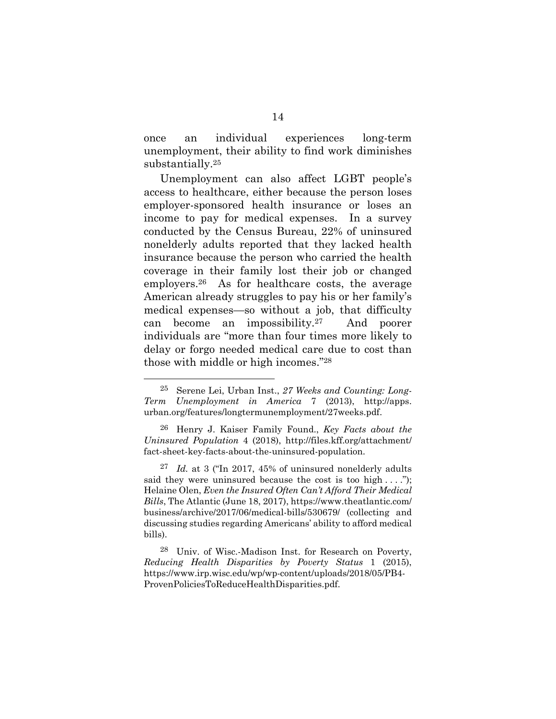once an individual experiences long-term unemployment, their ability to find work diminishes substantially.25

Unemployment can also affect LGBT people's access to healthcare, either because the person loses employer-sponsored health insurance or loses an income to pay for medical expenses. In a survey conducted by the Census Bureau, 22% of uninsured nonelderly adults reported that they lacked health insurance because the person who carried the health coverage in their family lost their job or changed employers.26 As for healthcare costs, the average American already struggles to pay his or her family's medical expenses—so without a job, that difficulty can become an impossibility.27 And poorer individuals are "more than four times more likely to delay or forgo needed medical care due to cost than those with middle or high incomes."28

 <sup>25</sup> Serene Lei, Urban Inst., *27 Weeks and Counting: Long-Term Unemployment in America* 7 (2013), http://apps. urban.org/features/longtermunemployment/27weeks.pdf.

<sup>26</sup> Henry J. Kaiser Family Found., *Key Facts about the Uninsured Population* 4 (2018), http://files.kff.org/attachment/ fact-sheet-key-facts-about-the-uninsured-population.

<sup>27</sup> *Id.* at 3 ("In 2017, 45% of uninsured nonelderly adults said they were uninsured because the cost is too high  $\dots$  ."); Helaine Olen, *Even the Insured Often Can't Afford Their Medical Bills*, The Atlantic (June 18, 2017), https://www.theatlantic.com/ business/archive/2017/06/medical-bills/530679/ (collecting and discussing studies regarding Americans' ability to afford medical bills).

<sup>28</sup> Univ. of Wisc.-Madison Inst. for Research on Poverty, *Reducing Health Disparities by Poverty Status* 1 (2015), https://www.irp.wisc.edu/wp/wp-content/uploads/2018/05/PB4- ProvenPoliciesToReduceHealthDisparities.pdf.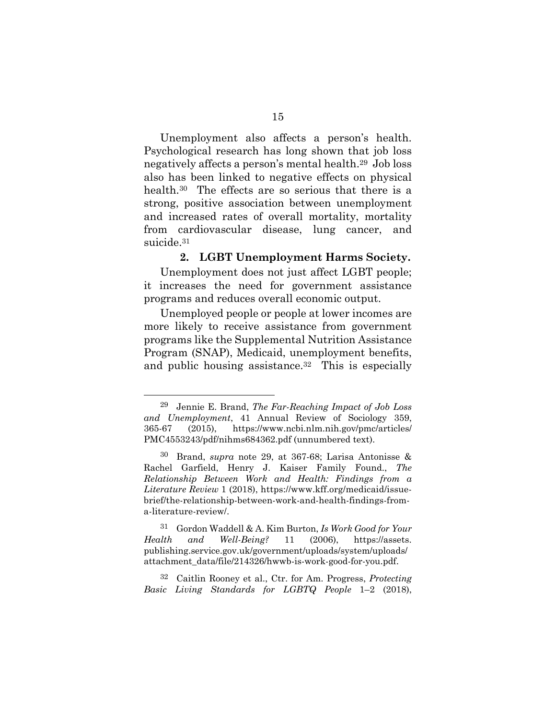Unemployment also affects a person's health. Psychological research has long shown that job loss negatively affects a person's mental health.29 Job loss also has been linked to negative effects on physical health.<sup>30</sup> The effects are so serious that there is a strong, positive association between unemployment and increased rates of overall mortality, mortality from cardiovascular disease, lung cancer, and suicide.<sup>31</sup>

#### **2. LGBT Unemployment Harms Society.**

Unemployment does not just affect LGBT people; it increases the need for government assistance programs and reduces overall economic output.

Unemployed people or people at lower incomes are more likely to receive assistance from government programs like the Supplemental Nutrition Assistance Program (SNAP), Medicaid, unemployment benefits, and public housing assistance.<sup>32</sup> This is especially

32 Caitlin Rooney et al., Ctr. for Am. Progress, *Protecting Basic Living Standards for LGBTQ People* 1–2 (2018),

 <sup>29</sup> Jennie E. Brand, *The Far-Reaching Impact of Job Loss and Unemployment*, 41 Annual Review of Sociology 359, 365-67 (2015), https://www.ncbi.nlm.nih.gov/pmc/articles/ PMC4553243/pdf/nihms684362.pdf (unnumbered text).

<sup>30</sup> Brand, *supra* note 29, at 367-68; Larisa Antonisse & Rachel Garfield, Henry J. Kaiser Family Found., *The Relationship Between Work and Health: Findings from a Literature Review* 1 (2018), https://www.kff.org/medicaid/issuebrief/the-relationship-between-work-and-health-findings-froma-literature-review/.

<sup>31</sup> Gordon Waddell & A. Kim Burton, *Is Work Good for Your Health and Well-Being?* 11 (2006), https://assets. publishing.service.gov.uk/government/uploads/system/uploads/ attachment\_data/file/214326/hwwb-is-work-good-for-you.pdf.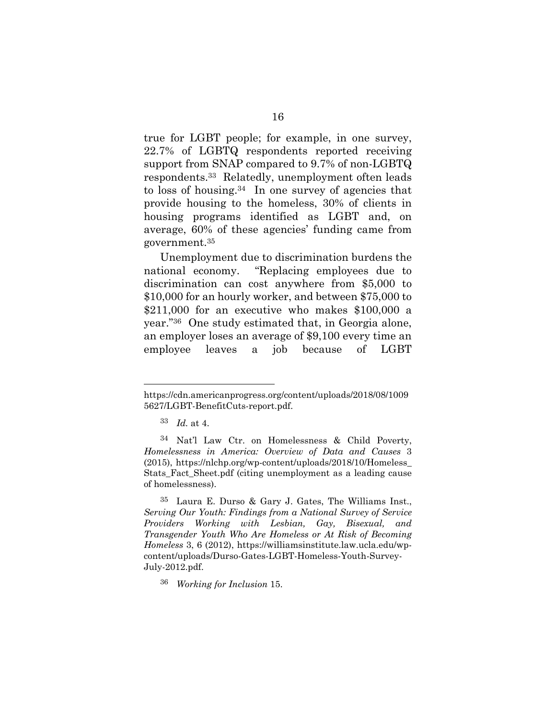true for LGBT people; for example, in one survey, 22.7% of LGBTQ respondents reported receiving support from SNAP compared to 9.7% of non-LGBTQ respondents.33 Relatedly, unemployment often leads to loss of housing.34 In one survey of agencies that provide housing to the homeless, 30% of clients in housing programs identified as LGBT and, on average, 60% of these agencies' funding came from government.35

Unemployment due to discrimination burdens the national economy. "Replacing employees due to discrimination can cost anywhere from \$5,000 to \$10,000 for an hourly worker, and between \$75,000 to \$211,000 for an executive who makes \$100,000 a year."36 One study estimated that, in Georgia alone, an employer loses an average of \$9,100 every time an employee leaves a job because of LGBT

l

https://cdn.americanprogress.org/content/uploads/2018/08/1009 5627/LGBT-BenefitCuts-report.pdf.

<sup>33</sup> *Id.* at 4.

<sup>34</sup> Nat'l Law Ctr. on Homelessness & Child Poverty, *Homelessness in America: Overview of Data and Causes* 3 (2015), https://nlchp.org/wp-content/uploads/2018/10/Homeless\_ Stats\_Fact\_Sheet.pdf (citing unemployment as a leading cause of homelessness).

<sup>35</sup> Laura E. Durso & Gary J. Gates, The Williams Inst., *Serving Our Youth: Findings from a National Survey of Service Providers Working with Lesbian, Gay, Bisexual, and Transgender Youth Who Are Homeless or At Risk of Becoming Homeless* 3, 6 (2012), https://williamsinstitute.law.ucla.edu/wpcontent/uploads/Durso-Gates-LGBT-Homeless-Youth-Survey-July-2012.pdf.

<sup>36</sup> *Working for Inclusion* 15.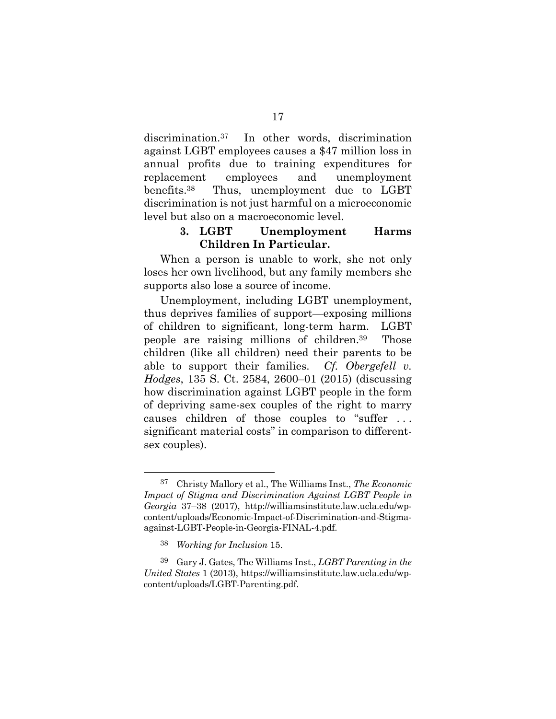discrimination.37 In other words, discrimination against LGBT employees causes a \$47 million loss in annual profits due to training expenditures for replacement employees and unemployment benefits.38 Thus, unemployment due to LGBT discrimination is not just harmful on a microeconomic level but also on a macroeconomic level.

### **3. LGBT Unemployment Harms Children In Particular.**

When a person is unable to work, she not only loses her own livelihood, but any family members she supports also lose a source of income.

Unemployment, including LGBT unemployment, thus deprives families of support—exposing millions of children to significant, long-term harm. LGBT people are raising millions of children.39 Those children (like all children) need their parents to be able to support their families. *Cf. Obergefell v. Hodges*, 135 S. Ct. 2584, 2600–01 (2015) (discussing how discrimination against LGBT people in the form of depriving same-sex couples of the right to marry causes children of those couples to "suffer . . . significant material costs" in comparison to differentsex couples).

 <sup>37</sup> Christy Mallory et al., The Williams Inst., *The Economic Impact of Stigma and Discrimination Against LGBT People in Georgia* 37–38 (2017), http://williamsinstitute.law.ucla.edu/wpcontent/uploads/Economic-Impact-of-Discrimination-and-Stigmaagainst-LGBT-People-in-Georgia-FINAL-4.pdf.

<sup>38</sup> *Working for Inclusion* 15.

<sup>39</sup> Gary J. Gates, The Williams Inst., *LGBT Parenting in the United States* 1 (2013), https://williamsinstitute.law.ucla.edu/wpcontent/uploads/LGBT-Parenting.pdf.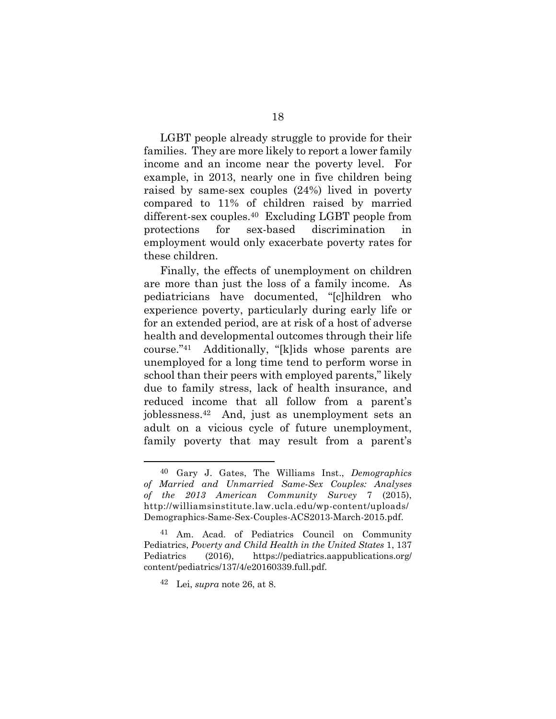LGBT people already struggle to provide for their families. They are more likely to report a lower family income and an income near the poverty level. For example, in 2013, nearly one in five children being raised by same-sex couples (24%) lived in poverty compared to 11% of children raised by married different-sex couples.40 Excluding LGBT people from protections for sex-based discrimination in employment would only exacerbate poverty rates for these children.

Finally, the effects of unemployment on children are more than just the loss of a family income. As pediatricians have documented, "[c]hildren who experience poverty, particularly during early life or for an extended period, are at risk of a host of adverse health and developmental outcomes through their life course."41 Additionally, "[k]ids whose parents are unemployed for a long time tend to perform worse in school than their peers with employed parents," likely due to family stress, lack of health insurance, and reduced income that all follow from a parent's joblessness.42 And, just as unemployment sets an adult on a vicious cycle of future unemployment, family poverty that may result from a parent's

 <sup>40</sup> Gary J. Gates, The Williams Inst., *Demographics of Married and Unmarried Same-Sex Couples: Analyses of the 2013 American Community Survey* 7 (2015), http://williamsinstitute.law.ucla.edu/wp-content/uploads/ Demographics-Same-Sex-Couples-ACS2013-March-2015.pdf.

<sup>41</sup> Am. Acad. of Pediatrics Council on Community Pediatrics, *Poverty and Child Health in the United States* 1, 137 Pediatrics (2016), https://pediatrics.aappublications.org/ content/pediatrics/137/4/e20160339.full.pdf.

<sup>42</sup> Lei, *supra* note 26, at 8.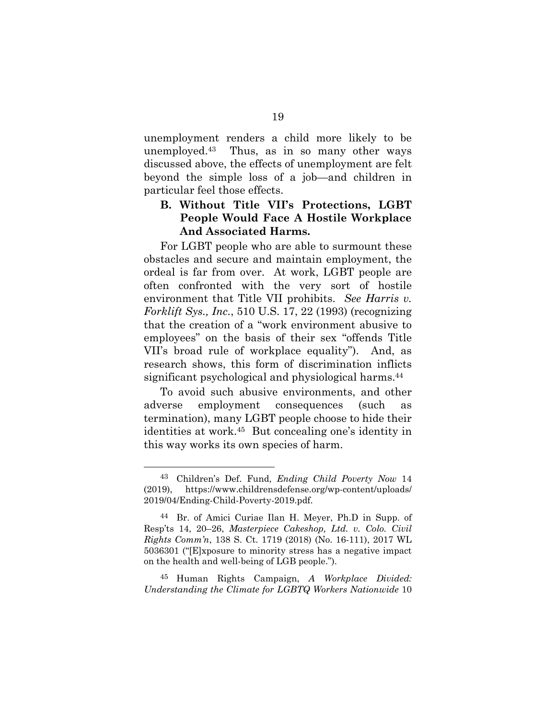unemployment renders a child more likely to be unemployed.43 Thus, as in so many other ways discussed above, the effects of unemployment are felt beyond the simple loss of a job—and children in particular feel those effects.

### **B. Without Title VII's Protections, LGBT People Would Face A Hostile Workplace And Associated Harms.**

For LGBT people who are able to surmount these obstacles and secure and maintain employment, the ordeal is far from over. At work, LGBT people are often confronted with the very sort of hostile environment that Title VII prohibits. *See Harris v. Forklift Sys., Inc.*, 510 U.S. 17, 22 (1993) (recognizing that the creation of a "work environment abusive to employees" on the basis of their sex "offends Title VII's broad rule of workplace equality"). And, as research shows, this form of discrimination inflicts significant psychological and physiological harms.44

To avoid such abusive environments, and other adverse employment consequences (such as termination), many LGBT people choose to hide their identities at work.45 But concealing one's identity in this way works its own species of harm.

45 Human Rights Campaign, *A Workplace Divided: Understanding the Climate for LGBTQ Workers Nationwide* 10

 <sup>43</sup> Children's Def. Fund, *Ending Child Poverty Now*<sup>14</sup> (2019), https://www.childrensdefense.org/wp-content/uploads/ 2019/04/Ending-Child-Poverty-2019.pdf.

<sup>44</sup> Br. of Amici Curiae Ilan H. Meyer, Ph.D in Supp. of Resp'ts 14, 20–26, *Masterpiece Cakeshop, Ltd. v. Colo. Civil Rights Comm'n*, 138 S. Ct. 1719 (2018) (No. 16-111), 2017 WL 5036301 ("[E]xposure to minority stress has a negative impact on the health and well-being of LGB people.").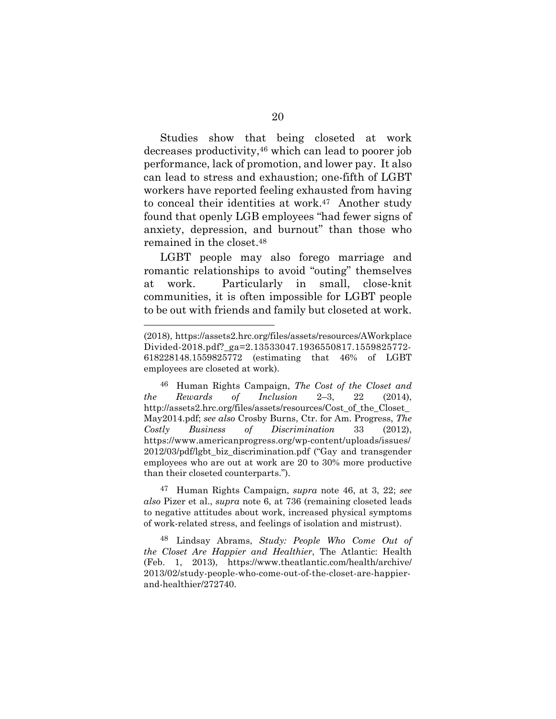Studies show that being closeted at work decreases productivity,46 which can lead to poorer job performance, lack of promotion, and lower pay. It also can lead to stress and exhaustion; one-fifth of LGBT workers have reported feeling exhausted from having to conceal their identities at work.<sup>47</sup> Another study found that openly LGB employees "had fewer signs of anxiety, depression, and burnout" than those who remained in the closet.48

LGBT people may also forego marriage and romantic relationships to avoid "outing" themselves at work. Particularly in small, close-knit communities, it is often impossible for LGBT people to be out with friends and family but closeted at work.

l

<sup>(2018),</sup> https://assets2.hrc.org/files/assets/resources/AWorkplace Divided-2018.pdf? ga=2.13533047.1936550817.1559825772-618228148.1559825772 (estimating that 46% of LGBT employees are closeted at work).

<sup>46</sup> Human Rights Campaign, *The Cost of the Closet and the Rewards of Inclusion* 2–3, 22 (2014), http://assets2.hrc.org/files/assets/resources/Cost\_of\_the\_Closet\_ May2014.pdf; *see also* Crosby Burns, Ctr. for Am. Progress, *The Costly Business of Discrimination* 33 (2012), https://www.americanprogress.org/wp-content/uploads/issues/ 2012/03/pdf/lgbt\_biz\_discrimination.pdf ("Gay and transgender employees who are out at work are 20 to 30% more productive than their closeted counterparts.").

<sup>47</sup> Human Rights Campaign, *supra* note 46, at 3, 22; *see also* Pizer et al., *supra* note 6, at 736 (remaining closeted leads to negative attitudes about work, increased physical symptoms of work-related stress, and feelings of isolation and mistrust).

<sup>48</sup> Lindsay Abrams, *Study: People Who Come Out of the Closet Are Happier and Healthier*, The Atlantic: Health (Feb. 1, 2013), https://www.theatlantic.com/health/archive/ 2013/02/study-people-who-come-out-of-the-closet-are-happierand-healthier/272740.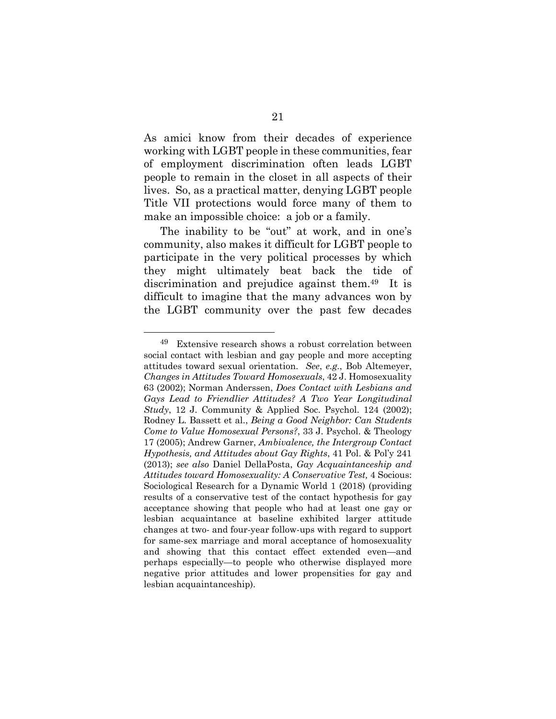As amici know from their decades of experience working with LGBT people in these communities, fear of employment discrimination often leads LGBT people to remain in the closet in all aspects of their lives. So, as a practical matter, denying LGBT people Title VII protections would force many of them to make an impossible choice: a job or a family.

The inability to be "out" at work, and in one's community, also makes it difficult for LGBT people to participate in the very political processes by which they might ultimately beat back the tide of discrimination and prejudice against them.49 It is difficult to imagine that the many advances won by the LGBT community over the past few decades

 <sup>49</sup> Extensive research shows a robust correlation between social contact with lesbian and gay people and more accepting attitudes toward sexual orientation. *See*, *e.g.*, Bob Altemeyer, *Changes in Attitudes Toward Homosexuals*, 42 J. Homosexuality 63 (2002); Norman Anderssen, *Does Contact with Lesbians and Gays Lead to Friendlier Attitudes? A Two Year Longitudinal Study*, 12 J. Community & Applied Soc. Psychol. 124 (2002); Rodney L. Bassett et al., *Being a Good Neighbor: Can Students Come to Value Homosexual Persons?*, 33 J. Psychol. & Theology 17 (2005); Andrew Garner, *Ambivalence, the Intergroup Contact Hypothesis, and Attitudes about Gay Rights*, 41 Pol. & Pol'y 241 (2013); *see also* Daniel DellaPosta, *Gay Acquaintanceship and Attitudes toward Homosexuality: A Conservative Test,* 4 Socious: Sociological Research for a Dynamic World 1 (2018) (providing results of a conservative test of the contact hypothesis for gay acceptance showing that people who had at least one gay or lesbian acquaintance at baseline exhibited larger attitude changes at two- and four-year follow-ups with regard to support for same-sex marriage and moral acceptance of homosexuality and showing that this contact effect extended even—and perhaps especially—to people who otherwise displayed more negative prior attitudes and lower propensities for gay and lesbian acquaintanceship).